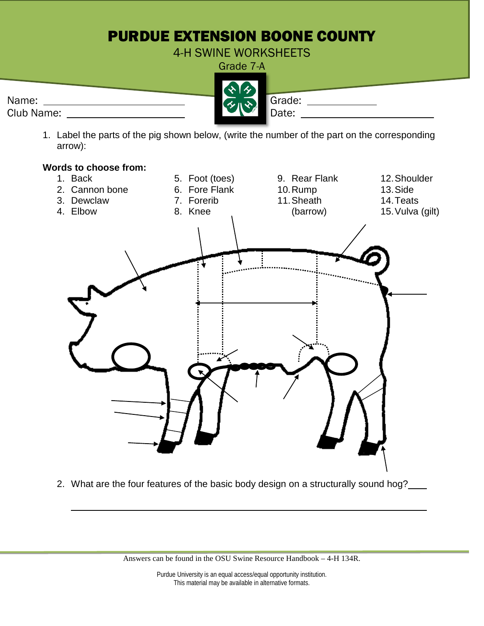## PURDUE EXTENSION BOONE COUNTY

4-H SWINE WORKSHEETS

|            | Grade 7-A     |
|------------|---------------|
|            | 22            |
| Name:      | Grade:<br>そいき |
| Club Name: | Date:         |

1. Label the parts of the pig shown below, (write the number of the part on the corresponding arrow):



2. What are the four features of the basic body design on a structurally sound hog?

Answers can be found in the OSU Swine Resource Handbook – 4-H 134R.

Purdue University is an equal access/equal opportunity institution. This material may be available in alternative formats.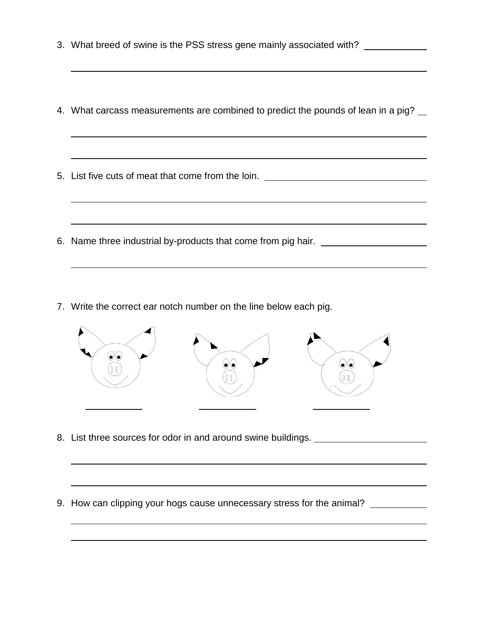- 3. What breed of swine is the PSS stress gene mainly associated with?
- 4. What carcass measurements are combined to predict the pounds of lean in a pig?
- 5. List five cuts of meat that come from the loin.
- 6. Name three industrial by-products that come from pig hair.
- 7. Write the correct ear notch number on the line below each pig.



- 8. List three sources for odor in and around swine buildings.
- 9. How can clipping your hogs cause unnecessary stress for the animal? \_\_\_\_\_\_\_\_\_